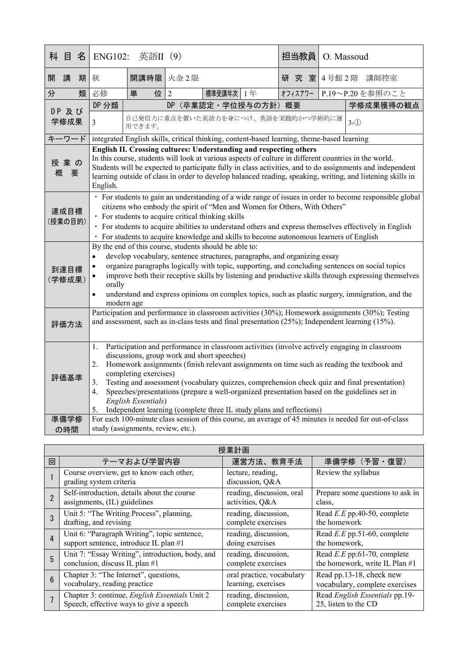| 名<br>科<br>目     | 英語II (9)<br><b>ENG102:</b>                                                                                                                                                                                                                                                                                                                                                                                                                                                                                                                                                                       |                                              |                               | 担当教員 | O. Massoud |  |                 |
|-----------------|--------------------------------------------------------------------------------------------------------------------------------------------------------------------------------------------------------------------------------------------------------------------------------------------------------------------------------------------------------------------------------------------------------------------------------------------------------------------------------------------------------------------------------------------------------------------------------------------------|----------------------------------------------|-------------------------------|------|------------|--|-----------------|
| 開<br>講<br>期     | 秋                                                                                                                                                                                                                                                                                                                                                                                                                                                                                                                                                                                                | 開講時限                                         | 火金2限                          |      | 研究室        |  | 4号館2階 講師控室      |
| 分<br>類          | 必修                                                                                                                                                                                                                                                                                                                                                                                                                                                                                                                                                                                               | 単<br>位                                       | $\overline{2}$<br>標準受講年次   1年 |      | オフィスアワー    |  | P.19~P.20を参照のこと |
| DP 及び           | DP 分類                                                                                                                                                                                                                                                                                                                                                                                                                                                                                                                                                                                            |                                              | 学修成果獲得の観点                     |      |            |  |                 |
| 学修成果            | $\overline{3}$                                                                                                                                                                                                                                                                                                                                                                                                                                                                                                                                                                                   | 自己発信力に重点を置いた英語力を身につけ、英語を実践的かつ学術的に運<br>用できます。 | $3-(1)$                       |      |            |  |                 |
| キーワード           | integrated English skills, critical thinking, content-based learning, theme-based learning                                                                                                                                                                                                                                                                                                                                                                                                                                                                                                       |                                              |                               |      |            |  |                 |
| 授業の<br>概<br>要   | English II. Crossing cultures: Understanding and respecting others<br>In this course, students will look at various aspects of culture in different countries in the world.<br>Students will be expected to participate fully in class activities, and to do assignments and independent<br>learning outside of class in order to develop balanced reading, speaking, writing, and listening skills in<br>English.                                                                                                                                                                               |                                              |                               |      |            |  |                 |
| 達成目標<br>(授業の目的) | • For students to gain an understanding of a wide range of issues in order to become responsible global<br>citizens who embody the spirit of "Men and Women for Others, With Others"<br>• For students to acquire critical thinking skills<br>· For students to acquire abilities to understand others and express themselves effectively in English<br>· For students to acquire knowledge and skills to become autonomous learners of English                                                                                                                                                  |                                              |                               |      |            |  |                 |
| 到達目標<br>(学修成果)  | By the end of this course, students should be able to:<br>develop vocabulary, sentence structures, paragraphs, and organizing essay<br>$\bullet$<br>organize paragraphs logically with topic, supporting, and concluding sentences on social topics<br>$\bullet$<br>improve both their receptive skills by listening and productive skills through expressing themselves<br>٠<br>orally<br>understand and express opinions on complex topics, such as plastic surgery, immigration, and the<br>$\bullet$<br>modern age                                                                           |                                              |                               |      |            |  |                 |
| 評価方法            | Participation and performance in classroom activities (30%); Homework assignments (30%); Testing<br>and assessment, such as in-class tests and final presentation $(25\%)$ ; Independent learning $(15\%)$ .                                                                                                                                                                                                                                                                                                                                                                                     |                                              |                               |      |            |  |                 |
| 評価基準            | Participation and performance in classroom activities (involve actively engaging in classroom<br>1.<br>discussions, group work and short speeches)<br>Homework assignments (finish relevant assignments on time such as reading the textbook and<br>2.<br>completing exercises)<br>Testing and assessment (vocabulary quizzes, comprehension check quiz and final presentation)<br>3.<br>Speeches/presentations (prepare a well-organized presentation based on the guidelines set in<br>4.<br>English Essentials)<br>Independent learning (complete three IL study plans and reflections)<br>5. |                                              |                               |      |            |  |                 |
| 準備学修<br>の時間     | For each 100-minute class session of this course, an average of 45 minutes is needed for out-of-class<br>study (assignments, review, etc.).                                                                                                                                                                                                                                                                                                                                                                                                                                                      |                                              |                               |      |            |  |                 |

| 授業計画            |                                                                     |                                      |                                  |  |  |
|-----------------|---------------------------------------------------------------------|--------------------------------------|----------------------------------|--|--|
| 回               | テーマおよび学習内容                                                          | 運営方法、教育手法                            | 準備学修(予習・復習)                      |  |  |
|                 | Course overview, get to know each other,<br>grading system criteria | lecture, reading,<br>discussion, Q&A | Review the syllabus              |  |  |
| $\overline{2}$  | Self-introduction, details about the course                         | reading, discussion, oral            | Prepare some questions to ask in |  |  |
|                 | assignments, (IL) guidelines                                        | activities, Q&A                      | class,                           |  |  |
| 3               | Unit 5: "The Writing Process", planning,                            | reading, discussion,                 | Read $E.E$ pp.40-50, complete    |  |  |
|                 | drafting, and revising                                              | complete exercises                   | the homework                     |  |  |
| $\overline{4}$  | Unit 6: "Paragraph Writing", topic sentence,                        | reading, discussion,                 | Read $E.E$ pp.51-60, complete    |  |  |
|                 | support sentence, introduce IL plan #1                              | doing exercises                      | the homework,                    |  |  |
| $5\phantom{.}$  | Unit 7: "Essay Writing", introduction, body, and                    | reading, discussion,                 | Read $E.E$ pp.61-70, complete    |  |  |
|                 | conclusion, discuss IL plan #1                                      | complete exercises                   | the homework, write IL Plan #1   |  |  |
| $6\phantom{1}6$ | Chapter 3: "The Internet", questions,                               | oral practice, vocabulary            | Read pp.13-18, check new         |  |  |
|                 | vocabulary, reading practice                                        | learning, exercises                  | vocabulary, complete exercises   |  |  |
|                 | Chapter 3: continue, English Essentials Unit 2                      | reading, discussion,                 | Read English Essentials pp.19-   |  |  |
|                 | Speech, effective ways to give a speech                             | complete exercises                   | 25, listen to the CD             |  |  |